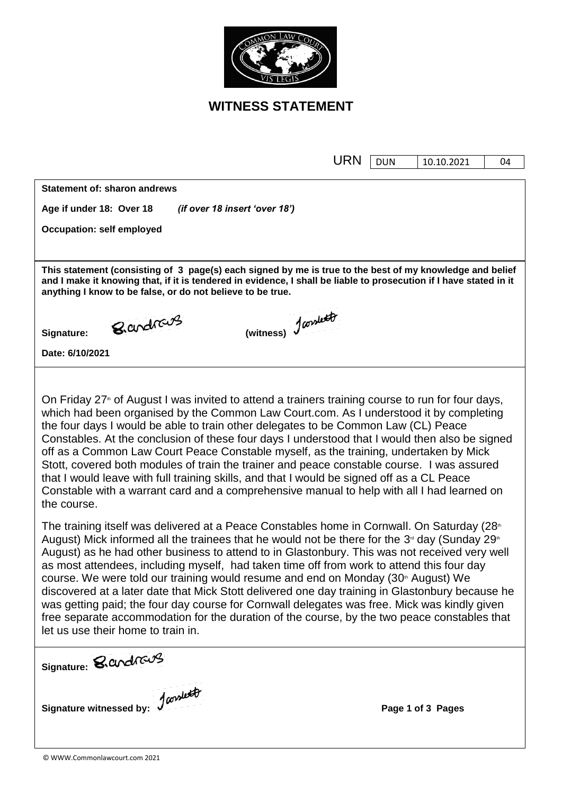

## **WITNESS STATEMENT**

| <b>URN</b>                                                                                                                                                                                                                                                                                                                                                                                                                                                                                                                                                                                                                                                                                                                                                                                                                                                                                                                                                                                                                                                                                                                                                                                                                                                                                                                                                                                                                                                                                                                     | <b>DUN</b> | 10.10.2021        | 04 |  |
|--------------------------------------------------------------------------------------------------------------------------------------------------------------------------------------------------------------------------------------------------------------------------------------------------------------------------------------------------------------------------------------------------------------------------------------------------------------------------------------------------------------------------------------------------------------------------------------------------------------------------------------------------------------------------------------------------------------------------------------------------------------------------------------------------------------------------------------------------------------------------------------------------------------------------------------------------------------------------------------------------------------------------------------------------------------------------------------------------------------------------------------------------------------------------------------------------------------------------------------------------------------------------------------------------------------------------------------------------------------------------------------------------------------------------------------------------------------------------------------------------------------------------------|------------|-------------------|----|--|
| <b>Statement of: sharon andrews</b>                                                                                                                                                                                                                                                                                                                                                                                                                                                                                                                                                                                                                                                                                                                                                                                                                                                                                                                                                                                                                                                                                                                                                                                                                                                                                                                                                                                                                                                                                            |            |                   |    |  |
| (if over 18 insert 'over 18')<br>Age if under 18: Over 18                                                                                                                                                                                                                                                                                                                                                                                                                                                                                                                                                                                                                                                                                                                                                                                                                                                                                                                                                                                                                                                                                                                                                                                                                                                                                                                                                                                                                                                                      |            |                   |    |  |
| <b>Occupation: self employed</b>                                                                                                                                                                                                                                                                                                                                                                                                                                                                                                                                                                                                                                                                                                                                                                                                                                                                                                                                                                                                                                                                                                                                                                                                                                                                                                                                                                                                                                                                                               |            |                   |    |  |
|                                                                                                                                                                                                                                                                                                                                                                                                                                                                                                                                                                                                                                                                                                                                                                                                                                                                                                                                                                                                                                                                                                                                                                                                                                                                                                                                                                                                                                                                                                                                |            |                   |    |  |
| This statement (consisting of 3 page(s) each signed by me is true to the best of my knowledge and belief<br>and I make it knowing that, if it is tendered in evidence, I shall be liable to prosecution if I have stated in it<br>anything I know to be false, or do not believe to be true.                                                                                                                                                                                                                                                                                                                                                                                                                                                                                                                                                                                                                                                                                                                                                                                                                                                                                                                                                                                                                                                                                                                                                                                                                                   |            |                   |    |  |
| (witness) Januard<br>Bardrave<br>Signature:                                                                                                                                                                                                                                                                                                                                                                                                                                                                                                                                                                                                                                                                                                                                                                                                                                                                                                                                                                                                                                                                                                                                                                                                                                                                                                                                                                                                                                                                                    |            |                   |    |  |
| Date: 6/10/2021                                                                                                                                                                                                                                                                                                                                                                                                                                                                                                                                                                                                                                                                                                                                                                                                                                                                                                                                                                                                                                                                                                                                                                                                                                                                                                                                                                                                                                                                                                                |            |                   |    |  |
| On Friday 27 <sup>th</sup> of August I was invited to attend a trainers training course to run for four days,<br>which had been organised by the Common Law Court.com. As I understood it by completing<br>the four days I would be able to train other delegates to be Common Law (CL) Peace<br>Constables. At the conclusion of these four days I understood that I would then also be signed<br>off as a Common Law Court Peace Constable myself, as the training, undertaken by Mick<br>Stott, covered both modules of train the trainer and peace constable course. I was assured<br>that I would leave with full training skills, and that I would be signed off as a CL Peace<br>Constable with a warrant card and a comprehensive manual to help with all I had learned on<br>the course.<br>The training itself was delivered at a Peace Constables home in Cornwall. On Saturday (28 <sup>th</sup><br>August) Mick informed all the trainees that he would not be there for the $3nd$ day (Sunday 29 <sup>th</sup><br>August) as he had other business to attend to in Glastonbury. This was not received very well<br>as most attendees, including myself, had taken time off from work to attend this four day<br>course. We were told our training would resume and end on Monday (30 <sup>th</sup> August) We<br>discovered at a later date that Mick Stott delivered one day training in Glastonbury because he<br>was getting paid; the four day course for Cornwall delegates was free. Mick was kindly given |            |                   |    |  |
| free separate accommodation for the duration of the course, by the two peace constables that<br>let us use their home to train in.<br>Signature: <i>S. Conduct 3</i>                                                                                                                                                                                                                                                                                                                                                                                                                                                                                                                                                                                                                                                                                                                                                                                                                                                                                                                                                                                                                                                                                                                                                                                                                                                                                                                                                           |            |                   |    |  |
| Signature witnessed by: January                                                                                                                                                                                                                                                                                                                                                                                                                                                                                                                                                                                                                                                                                                                                                                                                                                                                                                                                                                                                                                                                                                                                                                                                                                                                                                                                                                                                                                                                                                |            | Page 1 of 3 Pages |    |  |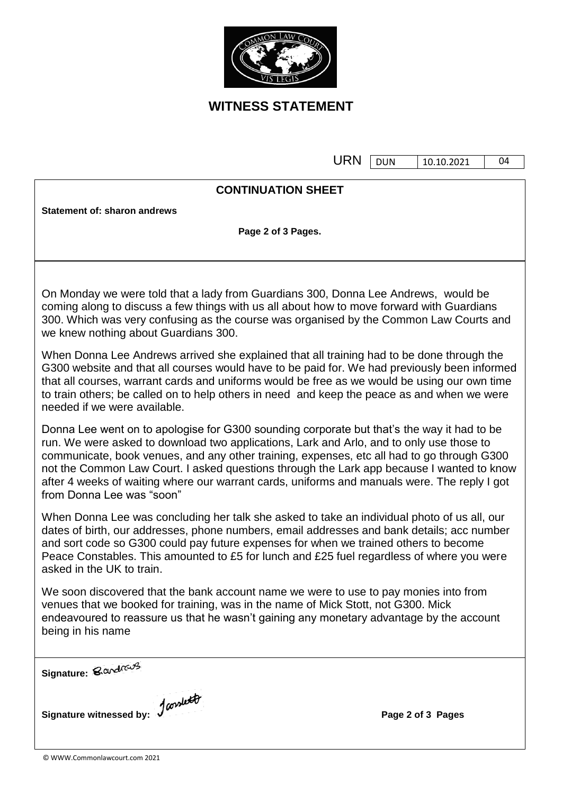

## **WITNESS STATEMENT**

URN DUN 10.10.2021

04

## **CONTINUATION SHEET**

**Statement of: sharon andrews**

**Page 2 of 3 Pages.**

On Monday we were told that a lady from Guardians 300, Donna Lee Andrews, would be coming along to discuss a few things with us all about how to move forward with Guardians 300. Which was very confusing as the course was organised by the Common Law Courts and we knew nothing about Guardians 300.

When Donna Lee Andrews arrived she explained that all training had to be done through the G300 website and that all courses would have to be paid for. We had previously been informed that all courses, warrant cards and uniforms would be free as we would be using our own time to train others; be called on to help others in need and keep the peace as and when we were needed if we were available.

Donna Lee went on to apologise for G300 sounding corporate but that"s the way it had to be run. We were asked to download two applications, Lark and Arlo, and to only use those to communicate, book venues, and any other training, expenses, etc all had to go through G300 not the Common Law Court. I asked questions through the Lark app because I wanted to know after 4 weeks of waiting where our warrant cards, uniforms and manuals were. The reply I got from Donna Lee was "soon"

When Donna Lee was concluding her talk she asked to take an individual photo of us all, our dates of birth, our addresses, phone numbers, email addresses and bank details; acc number and sort code so G300 could pay future expenses for when we trained others to become Peace Constables. This amounted to £5 for lunch and £25 fuel regardless of where you were asked in the UK to train.

We soon discovered that the bank account name we were to use to pay monies into from venues that we booked for training, was in the name of Mick Stott, not G300. Mick endeavoured to reassure us that he wasn"t gaining any monetary advantage by the account being in his name

Signature: *Sandrang* 

**Signature witnessed by:**  $\int_0^{\infty} \frac{d^{(n)}}{n!} dx$  **Page 2** of 3 **Pages**